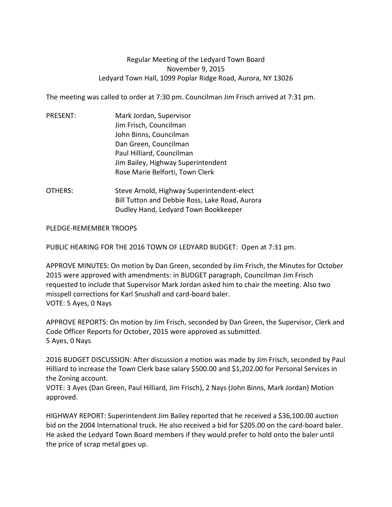## Regular Meeting of the Ledyard Town Board November 9, 2015 Ledyard Town Hall, 1099 Poplar Ridge Road, Aurora, NY 13026

The meeting was called to order at 7:30 pm. Councilman Jim Frisch arrived at 7:31 pm.

- PRESENT: Mark Jordan, Supervisor Jim Frisch, Councilman John Binns, Councilman Dan Green, Councilman Paul Hilliard, Councilman Jim Bailey, Highway Superintendent Rose Marie Belforti, Town Clerk
- OTHERS: Steve Arnold, Highway Superintendent-elect Bill Tutton and Debbie Ross, Lake Road, Aurora Dudley Hand, Ledyard Town Bookkeeper

## PLEDGE-REMEMBER TROOPS

PUBLIC HEARING FOR THE 2016 TOWN OF LEDYARD BUDGET: Open at 7:31 pm.

APPROVE MINUTES: On motion by Dan Green, seconded by Jim Frisch, the Minutes for October 2015 were approved with amendments: in BUDGET paragraph, Councilman Jim Frisch requested to include that Supervisor Mark Jordan asked him to chair the meeting. Also two misspell corrections for Karl Snushall and card-board baler. VOTE: 5 Ayes, 0 Nays

APPROVE REPORTS: On motion by Jim Frisch, seconded by Dan Green, the Supervisor, Clerk and Code Officer Reports for October, 2015 were approved as submitted. 5 Ayes, 0 Nays

2016 BUDGET DISCUSSION: After discussion a motion was made by Jim Frisch, seconded by Paul Hilliard to increase the Town Clerk base salary \$500.00 and \$1,202.00 for Personal Services in the Zoning account.

VOTE: 3 Ayes (Dan Green, Paul Hilliard, Jim Frisch), 2 Nays (John Binns, Mark Jordan) Motion approved.

HIGHWAY REPORT: Superintendent Jim Bailey reported that he received a \$36,100.00 auction bid on the 2004 International truck. He also received a bid for \$205.00 on the card-board baler. He asked the Ledyard Town Board members if they would prefer to hold onto the baler until the price of scrap metal goes up.